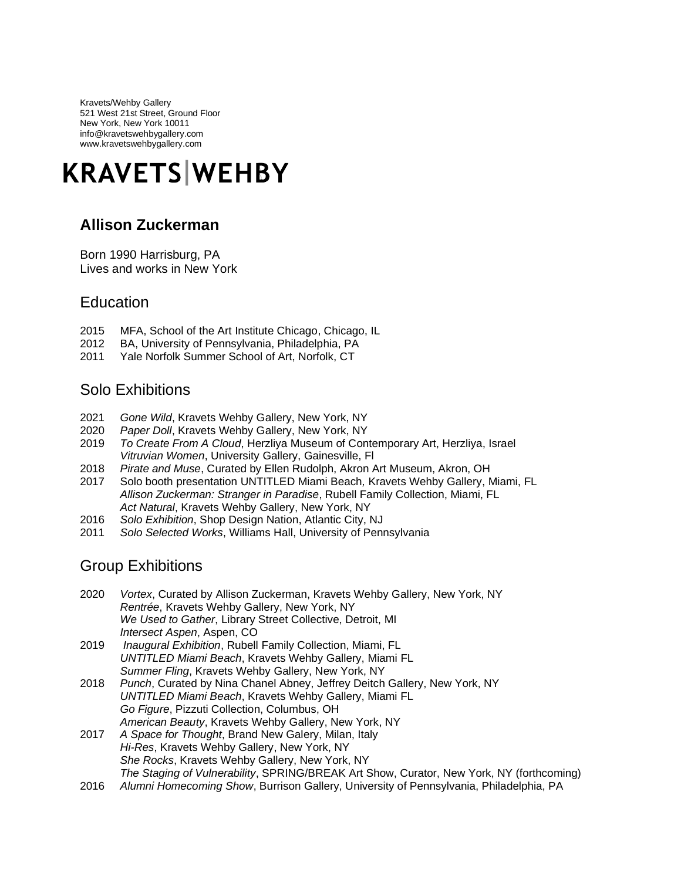Kravets/Wehby Gallery 521 West 21st Street, Ground Floor New York, New York 10011 info@kravetswehbygallery.com www.kravetswehbygallery.com

# **KRAVETS WEHBY**

## **Allison Zuckerman**

Born 1990 Harrisburg, PA Lives and works in New York

## **Education**

- 2015 MFA, School of the Art Institute Chicago, Chicago, IL
- 2012 BA, University of Pennsylvania, Philadelphia, PA
- 2011 Yale Norfolk Summer School of Art, Norfolk, CT

## Solo Exhibitions

- 2021 *Gone Wild*, Kravets Wehby Gallery, New York, NY
- 2020 *Paper Doll*, Kravets Wehby Gallery, New York, NY
- 2019 *To Create From A Cloud*, Herzliya Museum of Contemporary Art, Herzliya, Israel *Vitruvian Women*, University Gallery, Gainesville, Fl
- 2018 *Pirate and Muse*, Curated by Ellen Rudolph, Akron Art Museum, Akron, OH
- 2017 Solo booth presentation UNTITLED Miami Beach*,* Kravets Wehby Gallery, Miami, FL *Allison Zuckerman: Stranger in Paradise*, Rubell Family Collection, Miami, FL *Act Natural*, Kravets Wehby Gallery, New York, NY
- 2016 *Solo Exhibition*, Shop Design Nation, Atlantic City, NJ
- 2011 *Solo Selected Works*, Williams Hall, University of Pennsylvania

#### Group Exhibitions

- 2020 *Vortex*, Curated by Allison Zuckerman, Kravets Wehby Gallery, New York, NY *Rentrée*, Kravets Wehby Gallery, New York, NY *We Used to Gather*, Library Street Collective, Detroit, MI *Intersect Aspen*, Aspen, CO
- 2019 *Inaugural Exhibition*, Rubell Family Collection, Miami, FL *UNTITLED Miami Beach*, Kravets Wehby Gallery, Miami FL *Summer Fling*, Kravets Wehby Gallery, New York, NY
- 2018 *Punch*, Curated by Nina Chanel Abney, Jeffrey Deitch Gallery, New York, NY *UNTITLED Miami Beach*, Kravets Wehby Gallery, Miami FL *Go Figure*, Pizzuti Collection, Columbus, OH *American Beauty*, Kravets Wehby Gallery, New York, NY
- 2017 *A Space for Thought*, Brand New Galery, Milan, Italy *Hi-Res*, Kravets Wehby Gallery, New York, NY *She Rocks*, Kravets Wehby Gallery, New York, NY *The Staging of Vulnerability*, SPRING/BREAK Art Show, Curator, New York, NY (forthcoming)
- 2016 *Alumni Homecoming Show*, Burrison Gallery, University of Pennsylvania, Philadelphia, PA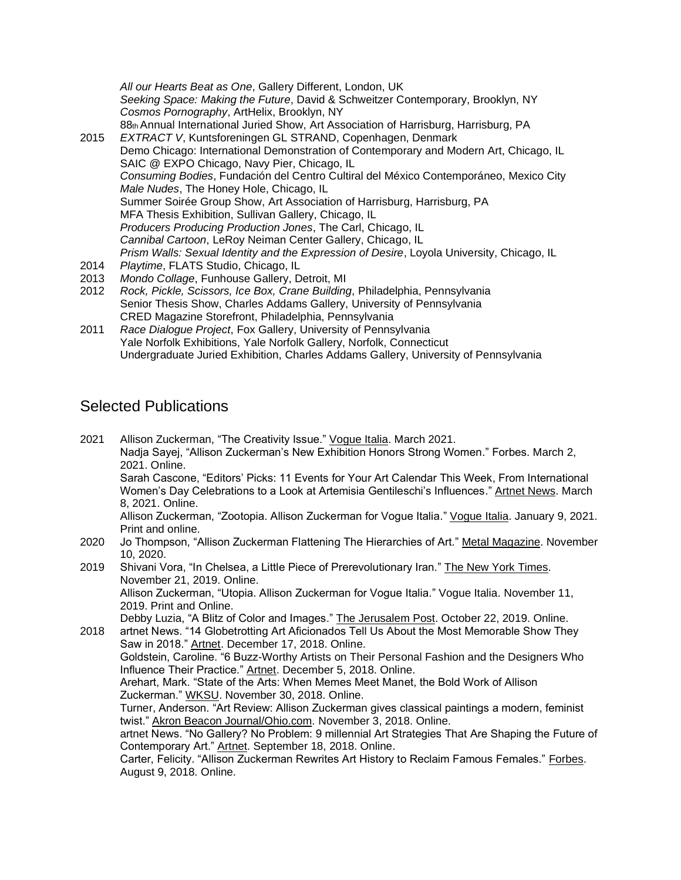*All our Hearts Beat as One*, Gallery Different, London, UK *Seeking Space: Making the Future*, David & Schweitzer Contemporary, Brooklyn, NY *Cosmos Pornography*, ArtHelix, Brooklyn, NY 88th Annual International Juried Show, Art Association of Harrisburg, Harrisburg, PA 2015 *EXTRACT V*, Kuntsforeningen GL STRAND, Copenhagen, Denmark Demo Chicago: International Demonstration of Contemporary and Modern Art, Chicago, IL SAIC @ EXPO Chicago, Navy Pier, Chicago, IL *Consuming Bodies*, Fundación del Centro Cultiral del México Contemporáneo, Mexico City *Male Nudes*, The Honey Hole, Chicago, IL Summer Soirée Group Show, Art Association of Harrisburg, Harrisburg, PA MFA Thesis Exhibition, Sullivan Gallery, Chicago, IL *Producers Producing Production Jones*, The Carl, Chicago, IL *Cannibal Cartoon*, LeRoy Neiman Center Gallery, Chicago, IL *Prism Walls: Sexual Identity and the Expression of Desire*, Loyola University, Chicago, IL 2014 *Playtime*, FLATS Studio, Chicago, IL

- 2013 *Mondo Collage*, Funhouse Gallery, Detroit, MI
- 2012 *Rock, Pickle, Scissors, Ice Box, Crane Building*, Philadelphia, Pennsylvania Senior Thesis Show, Charles Addams Gallery, University of Pennsylvania CRED Magazine Storefront, Philadelphia, Pennsylvania
- 2011 *Race Dialogue Project*, Fox Gallery, University of Pennsylvania Yale Norfolk Exhibitions, Yale Norfolk Gallery, Norfolk, Connecticut Undergraduate Juried Exhibition, Charles Addams Gallery, University of Pennsylvania

#### Selected Publications

2021 Allison Zuckerman, "The Creativity Issue." Vogue Italia. March 2021. Nadja Sayej, "Allison Zuckerman's New Exhibition Honors Strong Women." Forbes. March 2, 2021. Online. Sarah Cascone, "Editors' Picks: 11 Events for Your Art Calendar This Week, From International Women's Day Celebrations to a Look at Artemisia Gentileschi's Influences." Artnet News. March 8, 2021. Online. Allison Zuckerman, "Zootopia. Allison Zuckerman for Vogue Italia." Vogue Italia. January 9, 2021. Print and online. 2020 Jo Thompson, "Allison Zuckerman Flattening The Hierarchies of Art." Metal Magazine. November 10, 2020. 2019 Shivani Vora, "In Chelsea, a Little Piece of Prerevolutionary Iran." The New York Times. November 21, 2019. Online. Allison Zuckerman, "Utopia. Allison Zuckerman for Vogue Italia." Vogue Italia. November 11, 2019. Print and Online. Debby Luzia, "A Blitz of Color and Images." The Jerusalem Post. October 22, 2019. Online. 2018 artnet News. "14 Globetrotting Art Aficionados Tell Us About the Most Memorable Show They Saw in 2018." Artnet. December 17, 2018. Online. Goldstein, Caroline. "6 Buzz-Worthy Artists on Their Personal Fashion and the Designers Who Influence Their Practice." Artnet. December 5, 2018. Online. Arehart, Mark. "State of the Arts: When Memes Meet Manet, the Bold Work of Allison Zuckerman." WKSU. November 30, 2018. Online. Turner, Anderson. "Art Review: Allison Zuckerman gives classical paintings a modern, feminist twist." Akron Beacon Journal/Ohio.com. November 3, 2018. Online. artnet News. "No Gallery? No Problem: 9 millennial Art Strategies That Are Shaping the Future of Contemporary Art." Artnet. September 18, 2018. Online. Carter, Felicity. "Allison Zuckerman Rewrites Art History to Reclaim Famous Females." Forbes. August 9, 2018. Online.